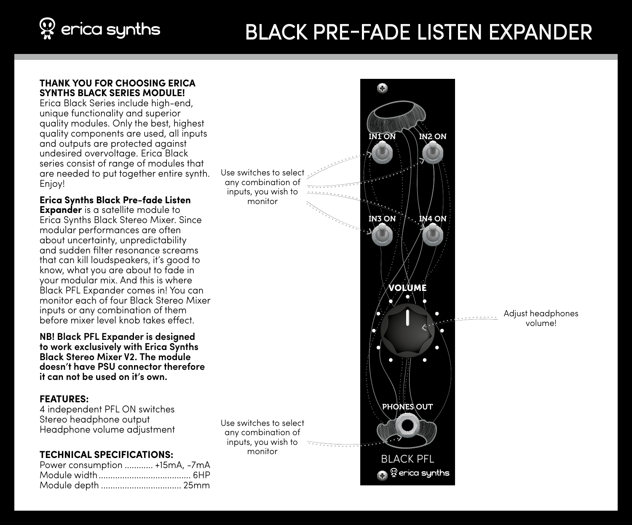

# BLACK PRE-FADE LISTEN EXPANDER

#### **THANK YOU FOR CHOOSING ERICA SYNTHS BLACK SERIES MODULE!**

Erica Black Series include high-end, unique functionality and superior quality modules. Only the best, highest quality components are used, all inputs and outputs are protected against undesired overvoltage. Erica Black series consist of range of modules that are needed to put together entire synth. Enjoy!

#### **Erica Synths Black Pre-fade Listen**

**Expander** is a satellite module to Erica Synths Black Stereo Mixer. Since modular performances are often about uncertainty, unpredictability and sudden filter resonance screams that can kill loudspeakers, it's good to know, what you are about to fade in your modular mix. And this is where Black PFL Expander comes in! You can monitor each of four Black Stereo Mixer inputs or any combination of them before mixer level knob takes effect.

**NB! Black PFL Expander is designed to work exclusively with Erica Synths Black Stereo Mixer V2. The module doesn't have PSU connector therefore it can not be used on it's own.**

#### **FEATURES:**

4 independent PFL ON switches Stereo headphone output Headphone volume adjustment

### **TECHNICAL SPECIFICATIONS:**

| Power consumption  +15mA, -7mA |  |
|--------------------------------|--|
|                                |  |
| Module depth  25mm             |  |

Use switches to select any combination of inputs, you wish to monitor

Use switches to select any combination of inputs, you wish to monitor



Adjust headphones volume!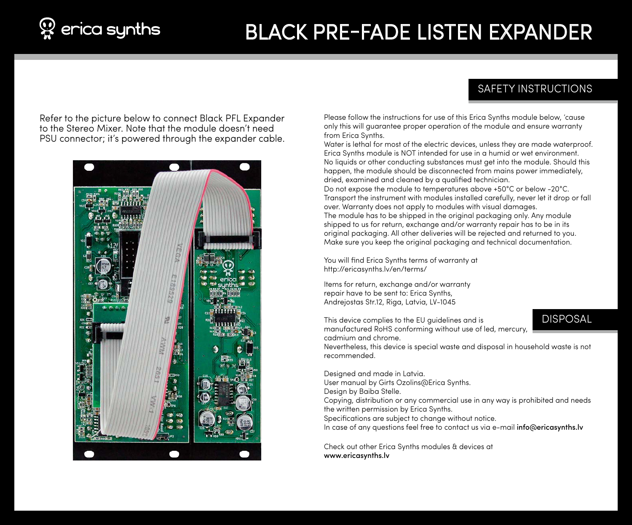# $\mathcal{D}$  erica synths

# BLACK PRE-FADE LISTEN EXPANDER

## SAFETY INSTRUCTIONS

Refer to the picture below to connect Black PFL Expander to the Stereo Mixer. Note that the module doesn't need PSU connector; it's powered through the expander cable.



Please follow the instructions for use of this Erica Synths module below, 'cause only this will guarantee proper operation of the module and ensure warranty from Erica Synths.

Water is lethal for most of the electric devices, unless they are made waterproof. Erica Synths module is NOT intended for use in a humid or wet environment. No liquids or other conducting substances must get into the module. Should this happen, the module should be disconnected from mains power immediately, dried, examined and cleaned by a qualified technician.

Do not expose the module to temperatures above +50° C or below -20° C. Transport the instrument with modules installed carefully, never let it drop or fall over. Warranty does not apply to modules with visual damages. The module has to be shipped in the original packaging only. Any module shipped to us for return, exchange and/or warranty repair has to be in its original packaging. All other deliveries will be rejected and returned to you. Make sure you keep the original packaging and technical documentation.

You will find Erica Synths terms of warranty at http://ericasynths.lv/en/terms/

Items for return, exchange and/or warranty repair have to be sent to: Erica Synths, Andrejostas Str.12, Riga, Latvia, LV-1045

This device complies to the EU guidelines and is manufactured RoHS conforming without use of led, mercury, cadmium and chrome.

### DISPOSAL

Nevertheless, this device is special waste and disposal in household waste is not recommended.

Designed and made in Latvia. User manual by Girts Ozolins@Erica Synths. Design by Baiba Stelle. Copying, distribution or any commercial use in any way is prohibited and needs the written permission by Erica Synths. Specifications are subject to change without notice. In case of any questions feel free to contact us via e-mail **info@ericasynths.ly** 

Check out other Erica Synths modules & devices at www.ericasynths.lv